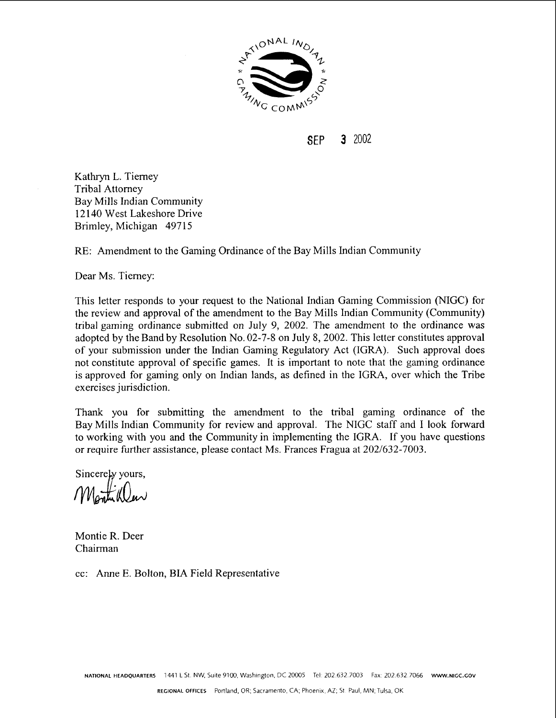

SEP **3** 2002

Kathryn L. Tierney Tribal Attorney Bay Mills Indian Community 12 140 West Lakeshore Drive Brimley, Michigan 49715

RE: Amendment to the Gaming Ordinance of the Bay Mills Indian Community

Dear Ms. Tierney:

This letter responds to your request to the National Indian Gaming Commission (MGC) for the review and approval of the amendment to the Bay Mills Indian Community (Community) tribal gaming ordinance submitted on July 9, 2002. The amendment to the ordinance was adopted by the Band by Resolution No. 02-7-8 on July 8, 2002. This letter constitutes approval of your submission under the Indian Gaming Regulatory Act (IGRA). Such approval does not constitute approval of specific games. It is important to note that the gaming ordinance is approved for gaming only on Indian lands, as defined in the IGRA, over which the Tribe exercises jurisdiction.

Thank you for submitting the amendment to the tribal gaming ordinance of the Bay Mills Indian Community for review and approval. The NIGC staff and I look forward to working with you and the Community in implementing the IGRA. If you have questions or require further assistance, please contact Ms. Frances Fragua at 202/632-7003.

Sincerely yours,<br> $M_{\text{Gumb}}(0)$ 

Montie R. Deer Chairman

cc: Anne E. Bolton, BIA Field Representative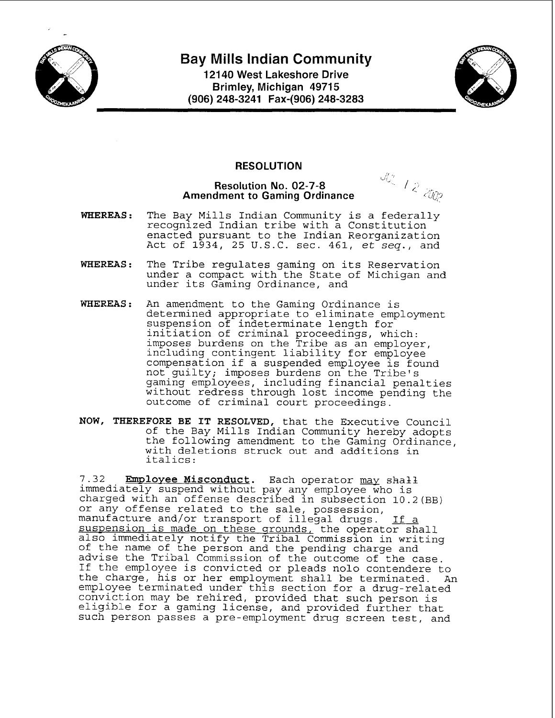

# **Bay Mills Indian Community**

**121 40 West Lakeshore Drive Brimley, Michigan 49715 (906) 248-3241 Fax-(906) 248-3283** 



## **RESOLUTION**

#### **Resolution No. 02-7-8 Amendment to Gaming Ordinance**

jl' **I, il** <

- **WHEREAS:** The Bay Mills Indian Community is a federally recognized Indian tribe with a Constitution enacted pursuant to the Indian Reorganization Act of 1934, 25 U.S.C. sec. 461, et seq., and
- **WHEREAS:** The Tribe regulates gaming on its Reservation under a compact with the State of Michigan and under its Gaming Ordinance, and
- **WHEREAS:** An amendment to the Gaming Ordinance is determined appropriate to eliminate employment suspension of indeterminate length for initiation of criminal proceedings, which: imposes burdens on the Tribe as an employer, including contingent liability for employee compensation if a suspended employee is found not guilty; imposes burdens on the Tribe's gaming employees, including financial penalties without redress through lost income pending the outcome of criminal court proceedings.
- **NOW, THEREFORE BE IT RESOLVED,** that the Executive Council of the Bay Mills Indian Community hereby adopts the following amendment to the Gaming Ordinance, with deletions struck out and additions in italics :

7.32 **Employee Misconduct**. Each operator may shall immediately suspend without pay any employee who is charged with an offense described in subsection 10.2(BB) or any offense related to the sale, possession, manufacture and/or transport of illegal drugs. If a suspension is made on these grounds, the operator shall also immediately notify the Tribal Commission in writing of the name of the person and the pending charge and advise the Tribal Commission of the outcome of the case. If the employee is convicted or pleads nolo contendere to the charge, his or her employment shall be terminated. An employee terminated under this section for a drug-related conviction may be rehired, provided that such person is eligible for a gaming license, and provided further that such person passes a pre-employment drug screen test, and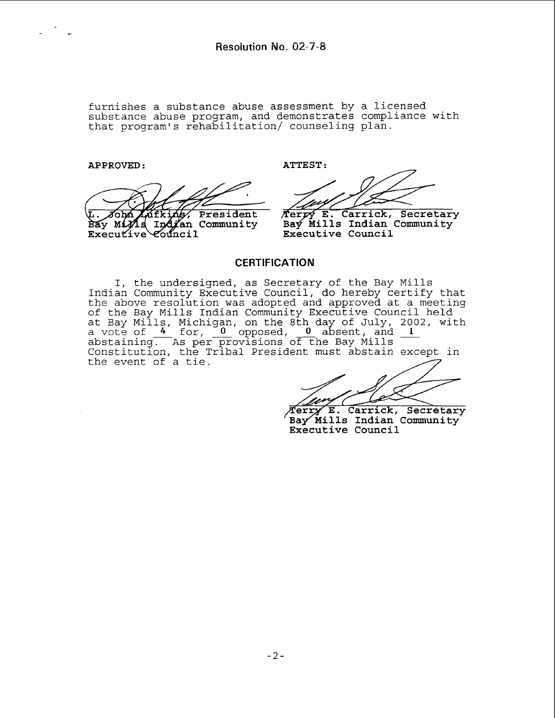furnishes a substance abuse assessment by a licensed substance abuse program, and demonstrates compliance with that program's rehabilitation/ counseling plan.

**APPROVED** : **ATTEST:**  President ี่ กี่อางก์ Zfki Bay Mind Indian Community  $\vec{v}$  Executive council

Terpy E. Carrick, Secretary Bay Mills Indian Community **Executive Council** 

## **CERTIFICATION**

I, the undersigned, as Secretary of the Bay Mills Indian Community Executive Council, do hereby certify that the above resolution was adopted and approved at a meeting of the Bay Mills Indian Community Executive Council held at Bay Mills, Michigan, on the 8th day of July, 2002, with abstaining.  $\overline{\phantom{A}}$ a vote of **4** for, per provisions opposed, <u>J</u>  $\circ \overline{f}$ LI<br>-nd approved at a meeting<br>Executive Council held<br>day of July, 2002, with<br>absent, and 1<br>the Bay Mills Constitution, the Tribal President must abstain except in the event of a tie.

E. Carrick, Secretary Terry Bay Mills Indian Community Executive Council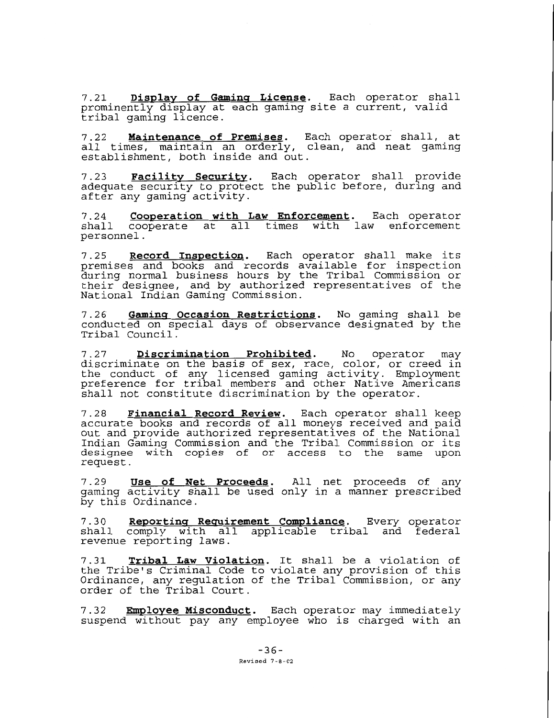7.21 Display of Gaming License. Each operator shall prominently display at each gaming site a current, valid tribal gaming licence.

**7.22 Maintenance of Premises.** Each operator shall, at all times, maintain an orderly, clean, and neat gaming establishment, both inside and out.

7.23 Facility Security. Each operator shall provide adequate security to protect the public before, during and after any gaming activity.

**7.24 Cooperation with Law Enforcement.** Each operator shall cooperate at all times with law enforcement personnel.

7.25 **Record Inspection.** Each operator shall make its premises and books and records available for inspection during normal business hours by the Tribal Commission or their designee, and by authorized representatives of the National Indian Gaming Commission.

**7.26 Gamins Occasion Restrictions.** No gaming shall be conducted on special days of observance designated by the Tribal Council.

**7.27 Discrimination Prohibited.** No operator may discriminate on the basis of sex, race, color, or creed in the conduct of any licensed gaming activity. Employment preference for tribal members and other Native Americans shall not constitute discrimination by the operator.

**7.28 Financial Record Review.** Each operator shall keep accurate books and records of all moneys received and paid out and provide authorized representatives of the National Indian Gaming Commission and the Tribal Commission or its designee with copies of or access to the same upon request.

**7.29 Use of Net Proceeds.** All net proceeds of any gaming activity shall be used only in a manner prescribed by this Ordinance.

7.30 Reporting Requirement Compliance. Every operator shall comply with all applicable tribal and federal revenue reporting laws.

**7.31 Tribal Law Violation.** It shall be a violation of the Tribe's Criminal Code to violate any provision of this Ordinance, any regulation of the Tribal Commission, or any order of the Tribal Court.

**7.32 Employee Misconduct.** Each operator may immediately suspend without pay any employee who is charged with an